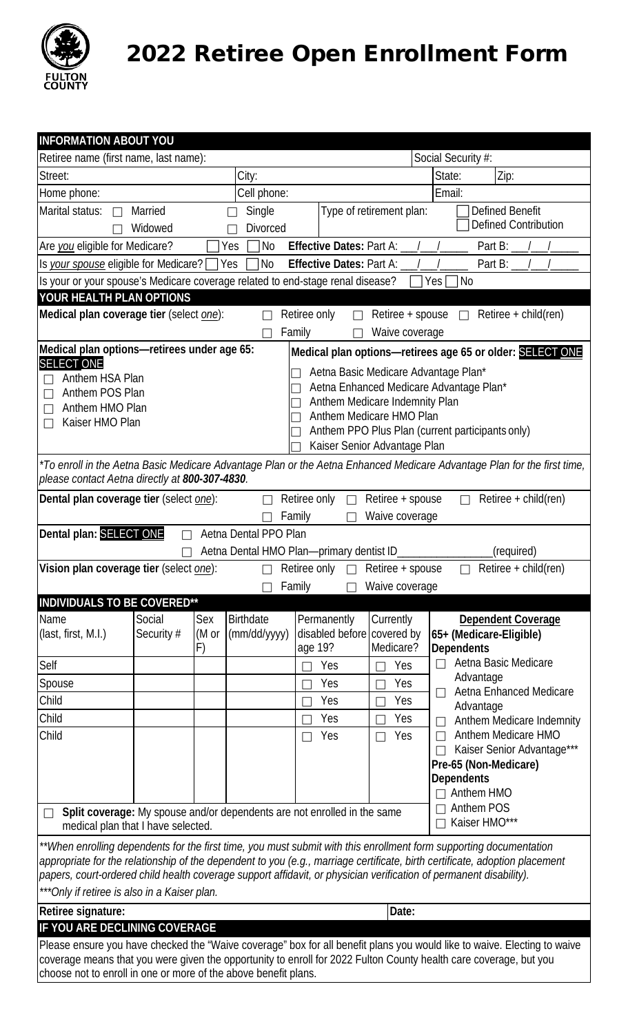

2022 Retiree Open Enrollment Form

| <b>INFORMATION ABOUT YOU</b>                                                                                                                                                                                                                      |             |       |                  |                            |                              |                                                                                                                   |  |
|---------------------------------------------------------------------------------------------------------------------------------------------------------------------------------------------------------------------------------------------------|-------------|-------|------------------|----------------------------|------------------------------|-------------------------------------------------------------------------------------------------------------------|--|
| Retiree name (first name, last name):<br>Social Security #:                                                                                                                                                                                       |             |       |                  |                            |                              |                                                                                                                   |  |
| Street:                                                                                                                                                                                                                                           | City:       |       |                  | State:<br>Zip:             |                              |                                                                                                                   |  |
| Home phone:                                                                                                                                                                                                                                       | Cell phone: |       |                  |                            | Email:                       |                                                                                                                   |  |
| Marital status:<br>Defined Benefit<br>Single<br>Type of retirement plan:<br>Married<br>П                                                                                                                                                          |             |       |                  |                            |                              |                                                                                                                   |  |
| Defined Contribution<br>Widowed<br><b>Divorced</b>                                                                                                                                                                                                |             |       |                  |                            |                              |                                                                                                                   |  |
| Are you eligible for Medicare?<br><b>No</b><br>Effective Dates: Part A:<br>Part $B$ :<br>Yes                                                                                                                                                      |             |       |                  |                            |                              |                                                                                                                   |  |
| Is your spouse eligible for Medicare? [<br>Effective Dates: Part A:<br>Part B:<br>Yes<br><b>No</b>                                                                                                                                                |             |       |                  |                            |                              |                                                                                                                   |  |
| Is your or your spouse's Medicare coverage related to end-stage renal disease?<br>Yes<br>  No                                                                                                                                                     |             |       |                  |                            |                              |                                                                                                                   |  |
| YOUR HEALTH PLAN OPTIONS                                                                                                                                                                                                                          |             |       |                  |                            |                              |                                                                                                                   |  |
| $Retiree + child (ren)$<br>Medical plan coverage tier (select <i>one</i> ):<br>Retiree only<br>Retiree + spouse                                                                                                                                   |             |       |                  |                            |                              |                                                                                                                   |  |
| Family<br>Waive coverage                                                                                                                                                                                                                          |             |       |                  |                            |                              |                                                                                                                   |  |
| Medical plan options-retirees under age 65:<br>Medical plan options-retirees age 65 or older: SELECT ONE                                                                                                                                          |             |       |                  |                            |                              |                                                                                                                   |  |
| <b>SELECT ONE</b><br>Aetna Basic Medicare Advantage Plan*<br>Anthem HSA Plan                                                                                                                                                                      |             |       |                  |                            |                              |                                                                                                                   |  |
| Aetna Enhanced Medicare Advantage Plan*<br>Anthem POS Plan                                                                                                                                                                                        |             |       |                  |                            |                              |                                                                                                                   |  |
| Anthem Medicare Indemnity Plan<br>Anthem HMO Plan                                                                                                                                                                                                 |             |       |                  |                            |                              |                                                                                                                   |  |
| Anthem Medicare HMO Plan<br>Kaiser HMO Plan<br>Anthem PPO Plus Plan (current participants only)                                                                                                                                                   |             |       |                  |                            |                              |                                                                                                                   |  |
|                                                                                                                                                                                                                                                   |             |       |                  |                            | Kaiser Senior Advantage Plan |                                                                                                                   |  |
| *To enroll in the Aetna Basic Medicare Advantage Plan or the Aetna Enhanced Medicare Advantage Plan for the first time,                                                                                                                           |             |       |                  |                            |                              |                                                                                                                   |  |
| please contact Aetna directly at 800-307-4830.                                                                                                                                                                                                    |             |       |                  |                            |                              |                                                                                                                   |  |
| Dental plan coverage tier (select one):<br>$Retiree + child (ren)$<br>Retiree only<br>Retiree + spouse                                                                                                                                            |             |       |                  |                            |                              |                                                                                                                   |  |
| Waive coverage<br>Family                                                                                                                                                                                                                          |             |       |                  |                            |                              |                                                                                                                   |  |
| Dental plan: SELECT ONE<br>Aetna Dental PPO Plan                                                                                                                                                                                                  |             |       |                  |                            |                              |                                                                                                                   |  |
| Aetna Dental HMO Plan-primary dentist ID<br>(required)                                                                                                                                                                                            |             |       |                  |                            |                              |                                                                                                                   |  |
| Vision plan coverage tier (select one):<br>Retiree + child(ren)<br>Retiree only<br>Retiree + spouse<br>$\Box$                                                                                                                                     |             |       |                  |                            |                              |                                                                                                                   |  |
|                                                                                                                                                                                                                                                   |             |       |                  | Family                     | $\Box$ Waive coverage        |                                                                                                                   |  |
| INDIVIDUALS TO BE COVERED**                                                                                                                                                                                                                       |             |       |                  |                            |                              |                                                                                                                   |  |
| Name                                                                                                                                                                                                                                              | Social      | Sex   | <b>Birthdate</b> | Permanently                | Currently                    | <b>Dependent Coverage</b>                                                                                         |  |
| $last, first, M.I.)$                                                                                                                                                                                                                              | Security #  | (M or | (mm/dd/yyyy)     | disabled before covered by | Medicare?                    | 65+ (Medicare-Eligible)<br><b>Dependents</b>                                                                      |  |
| Self                                                                                                                                                                                                                                              |             | F)    |                  | age 19?<br>Yes             | Yes                          | Aetna Basic Medicare<br>$\Box$                                                                                    |  |
|                                                                                                                                                                                                                                                   |             |       |                  | Yes                        | Yes                          | Advantage                                                                                                         |  |
| Spouse                                                                                                                                                                                                                                            |             |       |                  |                            |                              | Aetna Enhanced Medicare<br>$\Box$                                                                                 |  |
| Child                                                                                                                                                                                                                                             |             |       |                  | Yes                        | Yes                          | Advantage                                                                                                         |  |
| Child                                                                                                                                                                                                                                             |             |       |                  | Yes                        | Yes                          | Anthem Medicare Indemnity<br>П                                                                                    |  |
| Child                                                                                                                                                                                                                                             |             |       |                  | Yes<br>П                   | Yes                          | Anthem Medicare HMO<br>$\Box$<br>Kaiser Senior Advantage***                                                       |  |
|                                                                                                                                                                                                                                                   |             |       |                  |                            |                              | Pre-65 (Non-Medicare)                                                                                             |  |
|                                                                                                                                                                                                                                                   |             |       |                  |                            |                              | <b>Dependents</b>                                                                                                 |  |
|                                                                                                                                                                                                                                                   |             |       |                  |                            |                              | Anthem HMO                                                                                                        |  |
| Anthem POS<br>Split coverage: My spouse and/or dependents are not enrolled in the same<br>$\Box$<br>Kaiser HMO***<br>$\Box$<br>medical plan that I have selected.                                                                                 |             |       |                  |                            |                              |                                                                                                                   |  |
| **When enrolling dependents for the first time, you must submit with this enrollment form supporting documentation                                                                                                                                |             |       |                  |                            |                              |                                                                                                                   |  |
| appropriate for the relationship of the dependent to you (e.g., marriage certificate, birth certificate, adoption placement<br>papers, court-ordered child health coverage support affidavit, or physician verification of permanent disability). |             |       |                  |                            |                              |                                                                                                                   |  |
| ***Only if retiree is also in a Kaiser plan.                                                                                                                                                                                                      |             |       |                  |                            |                              |                                                                                                                   |  |
| Date:<br>Retiree signature:                                                                                                                                                                                                                       |             |       |                  |                            |                              |                                                                                                                   |  |
| IF YOU ARE DECLINING COVERAGE                                                                                                                                                                                                                     |             |       |                  |                            |                              |                                                                                                                   |  |
| Please ensure you have checked the "Waive coverage" box for all benefit plans you would like to waive. Electing to waive                                                                                                                          |             |       |                  |                            |                              |                                                                                                                   |  |
|                                                                                                                                                                                                                                                   |             |       |                  |                            |                              | coverage means that you were given the opportunity to enroll for 2022 Fulton County health care coverage, but you |  |
| choose not to enroll in one or more of the above benefit plans.                                                                                                                                                                                   |             |       |                  |                            |                              |                                                                                                                   |  |
|                                                                                                                                                                                                                                                   |             |       |                  |                            |                              |                                                                                                                   |  |